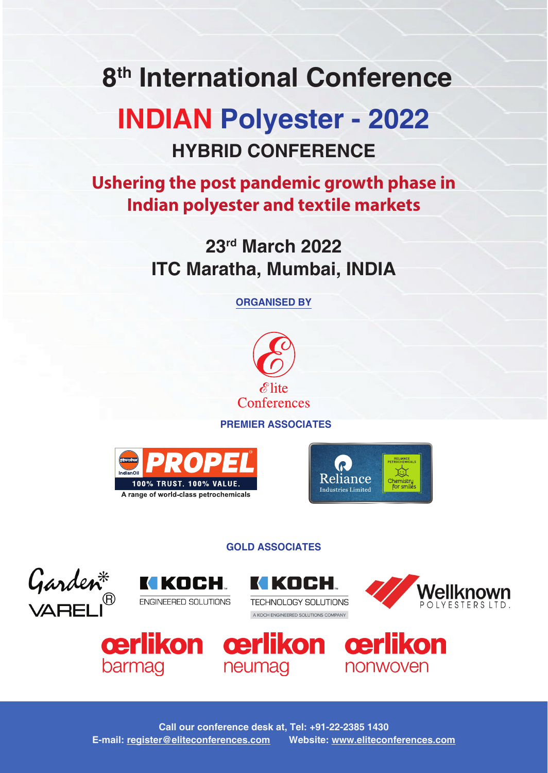# **8th International Conference**

# **INDIAN Polyester - 2022 HYBRID CONFERENCE**

# **Ushering the post pandemic growth phase in Indian polyester and textile markets**

**23rd March 2022 ITC Maratha, Mumbai, INDIA**

**ORGANISED BY**



**PREMIER ASSOCIATES**





## **GOLD ASSOCIATES**







A KOCH ENGINEERED SOLUTIONS COMPANY







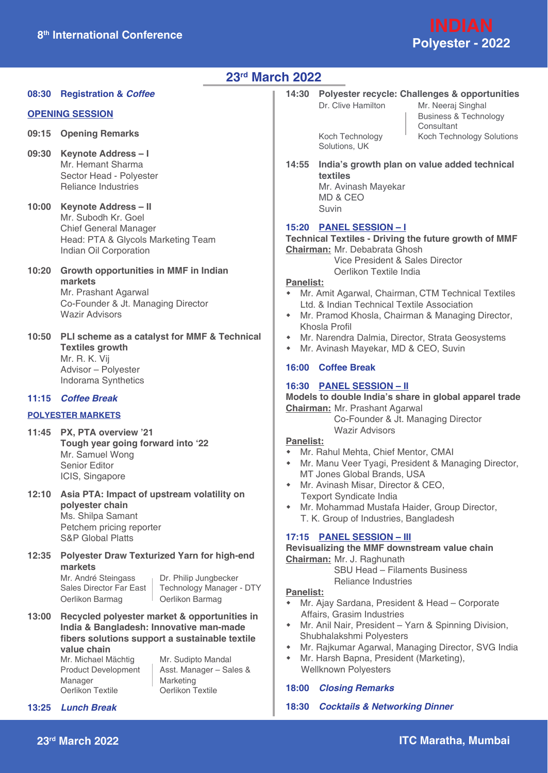

### **23rd March 2022**

**08:30 Registration &** *Coffee*

#### **OPENING SESSION**

- **09:15 Opening Remarks**
- **09:30 Keynote Address I** Mr. Hemant Sharma Sector Head - Polyester Reliance Industries
- **10:00 Keynote Address II** Mr. Subodh Kr. Goel Chief General Manager Head: PTA & Glycols Marketing Team Indian Oil Corporation
- **10:20 Growth opportunities in MMF in Indian markets** Mr. Prashant Agarwal Co-Founder & Jt. Managing Director Wazir Advisors
- **10:50 PLI scheme as a catalyst for MMF & Technical Textiles growth** Mr. R. K. Vij Advisor – Polyester Indorama Synthetics

#### **11:15** *Coffee Break*

#### **POLYESTER MARKETS**

- **11:45 PX, PTA overview '21 Tough year going forward into '22** Mr. Samuel Wong Senior Editor ICIS, Singapore
- **12:10 Asia PTA: Impact of upstream volatility on polyester chain** Ms. Shilpa Samant Petchem pricing reporter S&P Global Platts
- **12:35 Polyester Draw Texturized Yarn for high-end markets**

Mr. André Steingass Dr. Philip Jungbecker<br>Sales Director Far East Technology Manager Oerlikon Barmag | Oerlikon Barmag

Technology Manager - DTY

**13:00 Recycled polyester market & opportunities in India & Bangladesh: Innovative man-made fibers solutions support a sustainable textile value chain** Mr. Michael Mächtig Mr. Sudipto Mandal

Manager | Marketing<br>
Oerlikon Textile | Oerlikon Textile Oerlikon Textile

Product Development | Asst. Manager – Sales &

**14:30 Polyester recycle: Challenges & opportunities** Dr. Clive Hamilton Mr. Neeraj Singhal

Solutions, UK

 Business & Technology **Consultant** Koch Technology <sup>I</sup> Koch Technology Solutions

**14:55 India's growth plan on value added technical textiles** Mr. Avinash Mayekar

 MD & CEO Suvin

#### **15:20 PANEL SESSION – I**

**Technical Textiles - Driving the future growth of MMF Chairman:** Mr. Debabrata Ghosh

> Vice President & Sales Director Oerlikon Textile India

#### **Panelist:**

- Mr. Amit Agarwal, Chairman, CTM Technical Textiles Ltd. & Indian Technical Textile Association
- Mr. Pramod Khosla, Chairman & Managing Director, Khosla Profil
- Mr. Narendra Dalmia, Director, Strata Geosystems
- Mr. Avinash Mayekar, MD & CEO, Suvin

#### **16:00 Coffee Break**

#### **16:30 PANEL SESSION – II**

**Models to double India's share in global apparel trade Chairman:** Mr. Prashant Agarwal

> Co-Founder & Jt. Managing Director Wazir Advisors

#### **Panelist:**

- Mr. Rahul Mehta, Chief Mentor, CMAI
- Mr. Manu Veer Tyagi, President & Managing Director, MT Jones Global Brands, USA
- Mr. Avinash Misar, Director & CEO, Texport Syndicate India
- Mr. Mohammad Mustafa Haider, Group Director, T. K. Group of Industries, Bangladesh

#### **17:15 PANEL SESSION – III**

**Revisualizing the MMF downstream value chain Chairman:** Mr. J. Raghunath

 SBU Head – Filaments Business Reliance Industries

#### **Panelist:**

- Mr. Ajay Sardana, President & Head Corporate Affairs, Grasim Industries
- Mr. Anil Nair, President Yarn & Spinning Division, Shubhalakshmi Polyesters
- Mr. Rajkumar Agarwal, Managing Director, SVG India
- Mr. Harsh Bapna, President (Marketing), Wellknown Polyesters

#### **18:00** *Closing Remarks*

**18:30** *Cocktails & Networking Dinner*

**13:25** *Lunch Break*